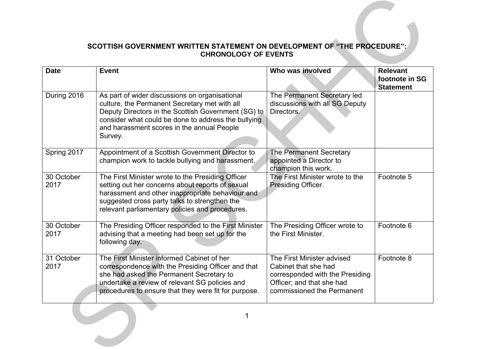## **SCOTTISH GOVERNMENT WRITTEN STATEMENT ON DEVELOPMENT OF "THE PROCEDURE": CHRONOLOGY OF EVENTS**

| Who was involved<br><b>Event</b><br><b>Relevant</b><br><b>Date</b><br>footnote in SG<br><b>Statement</b><br>During 2016<br>The Permanent Secretary led<br>As part of wider discussions on organisational<br>discussions with all SG Deputy<br>culture, the Permanent Secretary met with all<br>Deputy Directors in the Scottish Government (SG) to<br>Directors.<br>consider what could be done to address the bullying<br>and harassment scores in the annual People<br>Survey.<br>Spring 2017<br>Appointment of a Scottish Government Director to<br>The Permanent Secretary<br>appointed a Director to<br>champion work to tackle bullying and harassment.<br>champion this work.<br>30 October<br>The First Minister wrote to the<br>The First Minister wrote to the Presiding Officer<br>Footnote 5<br>setting out her concerns about reports of sexual<br>2017<br>Presiding Officer.<br>harassment and other inappropriate behaviour and<br>suggested cross party talks to strengthen the<br>relevant parliamentary policies and procedures.<br>30 October<br>The Presiding Officer responded to the First Minister<br>Footnote 6<br>The Presiding Officer wrote to<br>advising that a meeting had been set up for the<br>2017<br>the First Minister.<br>following day.<br>31 October<br>The First Minister informed Cabinet of her<br>The First Minister advised<br>Footnote 8<br>2017<br>Cabinet that she had<br>correspondence with the Presiding Officer and that<br>she had asked the Permanent Secretary to<br>corresponded with the Presiding<br>undertake a review of relevant SG policies and<br>Officer; and that she had<br>commissioned the Permanent<br>procedures to ensure that they were fit for purpose. | SCOTTISH GOVERNMENT WRITTEN STATEMENT ON DEVELOPMENT OF "THE PROCEDURE":<br><b>CHRONOLOGY OF EVENTS</b> |  |  |  |
|---------------------------------------------------------------------------------------------------------------------------------------------------------------------------------------------------------------------------------------------------------------------------------------------------------------------------------------------------------------------------------------------------------------------------------------------------------------------------------------------------------------------------------------------------------------------------------------------------------------------------------------------------------------------------------------------------------------------------------------------------------------------------------------------------------------------------------------------------------------------------------------------------------------------------------------------------------------------------------------------------------------------------------------------------------------------------------------------------------------------------------------------------------------------------------------------------------------------------------------------------------------------------------------------------------------------------------------------------------------------------------------------------------------------------------------------------------------------------------------------------------------------------------------------------------------------------------------------------------------------------------------------------------------------------------------------------------------------------------|---------------------------------------------------------------------------------------------------------|--|--|--|
|                                                                                                                                                                                                                                                                                                                                                                                                                                                                                                                                                                                                                                                                                                                                                                                                                                                                                                                                                                                                                                                                                                                                                                                                                                                                                                                                                                                                                                                                                                                                                                                                                                                                                                                                 |                                                                                                         |  |  |  |
|                                                                                                                                                                                                                                                                                                                                                                                                                                                                                                                                                                                                                                                                                                                                                                                                                                                                                                                                                                                                                                                                                                                                                                                                                                                                                                                                                                                                                                                                                                                                                                                                                                                                                                                                 |                                                                                                         |  |  |  |
|                                                                                                                                                                                                                                                                                                                                                                                                                                                                                                                                                                                                                                                                                                                                                                                                                                                                                                                                                                                                                                                                                                                                                                                                                                                                                                                                                                                                                                                                                                                                                                                                                                                                                                                                 |                                                                                                         |  |  |  |
|                                                                                                                                                                                                                                                                                                                                                                                                                                                                                                                                                                                                                                                                                                                                                                                                                                                                                                                                                                                                                                                                                                                                                                                                                                                                                                                                                                                                                                                                                                                                                                                                                                                                                                                                 |                                                                                                         |  |  |  |
|                                                                                                                                                                                                                                                                                                                                                                                                                                                                                                                                                                                                                                                                                                                                                                                                                                                                                                                                                                                                                                                                                                                                                                                                                                                                                                                                                                                                                                                                                                                                                                                                                                                                                                                                 |                                                                                                         |  |  |  |
|                                                                                                                                                                                                                                                                                                                                                                                                                                                                                                                                                                                                                                                                                                                                                                                                                                                                                                                                                                                                                                                                                                                                                                                                                                                                                                                                                                                                                                                                                                                                                                                                                                                                                                                                 |                                                                                                         |  |  |  |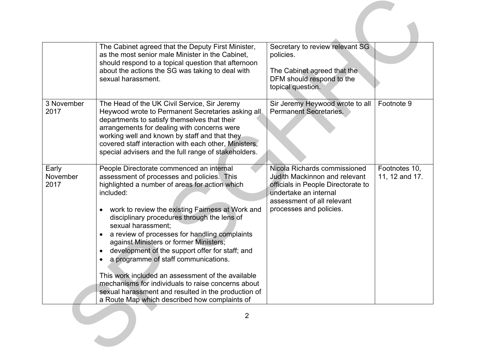|                           | The Cabinet agreed that the Deputy First Minister,<br>as the most senior male Minister in the Cabinet,<br>should respond to a topical question that afternoon                                                                                                                                                                                                                                                                                                                                                                                                                                                                                                                                                     | Secretary to review relevant SG<br>policies.                                                                                                                                                 |                                 |
|---------------------------|-------------------------------------------------------------------------------------------------------------------------------------------------------------------------------------------------------------------------------------------------------------------------------------------------------------------------------------------------------------------------------------------------------------------------------------------------------------------------------------------------------------------------------------------------------------------------------------------------------------------------------------------------------------------------------------------------------------------|----------------------------------------------------------------------------------------------------------------------------------------------------------------------------------------------|---------------------------------|
|                           | about the actions the SG was taking to deal with<br>sexual harassment.                                                                                                                                                                                                                                                                                                                                                                                                                                                                                                                                                                                                                                            | The Cabinet agreed that the<br>DFM should respond to the<br>topical question.                                                                                                                |                                 |
| 3 November<br>2017        | The Head of the UK Civil Service, Sir Jeremy<br>Heywood wrote to Permanent Secretaries asking all<br>departments to satisfy themselves that their<br>arrangements for dealing with concerns were<br>working well and known by staff and that they<br>covered staff interaction with each other, Ministers,<br>special advisers and the full range of stakeholders.                                                                                                                                                                                                                                                                                                                                                | Sir Jeremy Heywood wrote to all<br><b>Permanent Secretaries.</b>                                                                                                                             | Footnote 9                      |
| Early<br>November<br>2017 | People Directorate commenced an internal<br>assessment of processes and policies. This<br>highlighted a number of areas for action which<br>included:<br>work to review the existing Fairness at Work and<br>$\bullet$<br>disciplinary procedures through the lens of<br>sexual harassment;<br>a review of processes for handling complaints<br>$\bullet$<br>against Ministers or former Ministers;<br>development of the support offer for staff; and<br>a programme of staff communications.<br>This work included an assessment of the available<br>mechanisms for individuals to raise concerns about<br>sexual harassment and resulted in the production of<br>a Route Map which described how complaints of | Nicola Richards commissioned<br><b>Judith Mackinnon and relevant</b><br>officials in People Directorate to<br>undertake an internal<br>assessment of all relevant<br>processes and policies. | Footnotes 10,<br>11, 12 and 17. |
|                           | $\overline{2}$                                                                                                                                                                                                                                                                                                                                                                                                                                                                                                                                                                                                                                                                                                    |                                                                                                                                                                                              |                                 |
|                           |                                                                                                                                                                                                                                                                                                                                                                                                                                                                                                                                                                                                                                                                                                                   |                                                                                                                                                                                              |                                 |
|                           |                                                                                                                                                                                                                                                                                                                                                                                                                                                                                                                                                                                                                                                                                                                   |                                                                                                                                                                                              |                                 |
|                           |                                                                                                                                                                                                                                                                                                                                                                                                                                                                                                                                                                                                                                                                                                                   |                                                                                                                                                                                              |                                 |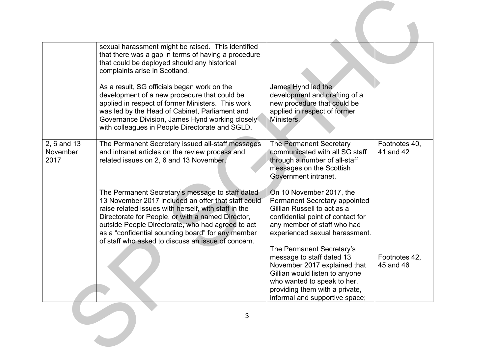| sexual harassment might be raised. This identified<br>that there was a gap in terms of having a procedure<br>that could be deployed should any historical<br>complaints arise in Scotland.                                                                                                                                     |                                                                                                                                                                                                                             |                            |
|--------------------------------------------------------------------------------------------------------------------------------------------------------------------------------------------------------------------------------------------------------------------------------------------------------------------------------|-----------------------------------------------------------------------------------------------------------------------------------------------------------------------------------------------------------------------------|----------------------------|
| As a result, SG officials began work on the<br>development of a new procedure that could be<br>applied in respect of former Ministers. This work<br>was led by the Head of Cabinet, Parliament and<br>Governance Division, James Hynd working closely<br>with colleagues in People Directorate and SGLD.                       | James Hynd led the<br>development and drafting of a<br>new procedure that could be<br>applied in respect of former<br>Ministers.                                                                                            |                            |
| The Permanent Secretary issued all-staff messages<br>and intranet articles on the review process and<br>related issues on 2, 6 and 13 November.                                                                                                                                                                                | <b>The Permanent Secretary</b><br>communicated with all SG staff<br>through a number of all-staff<br>messages on the Scottish<br>Government intranet.                                                                       | Footnotes 40,<br>41 and 42 |
| The Permanent Secretary's message to staff dated<br>13 November 2017 included an offer that staff could<br>raise related issues with herself, with staff in the<br>Directorate for People, or with a named Director,<br>outside People Directorate, who had agreed to act<br>as a "confidential sounding board" for any member | On 10 November 2017, the<br><b>Permanent Secretary appointed</b><br>Gillian Russell to act as a<br>confidential point of contact for<br>any member of staff who had<br>experienced sexual harassment.                       |                            |
|                                                                                                                                                                                                                                                                                                                                | The Permanent Secretary's<br>message to staff dated 13<br>November 2017 explained that<br>Gillian would listen to anyone<br>who wanted to speak to her,<br>providing them with a private,<br>informal and supportive space; | Footnotes 42,<br>45 and 46 |
| 3                                                                                                                                                                                                                                                                                                                              |                                                                                                                                                                                                                             |                            |
|                                                                                                                                                                                                                                                                                                                                |                                                                                                                                                                                                                             |                            |
|                                                                                                                                                                                                                                                                                                                                | of staff who asked to discuss an issue of concern.                                                                                                                                                                          |                            |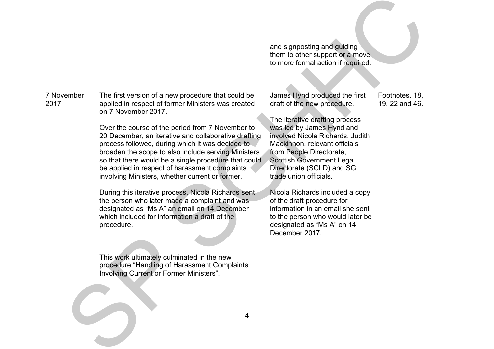|                    |                                                                                                             | and signposting and guiding<br>them to other support or a move       |                |
|--------------------|-------------------------------------------------------------------------------------------------------------|----------------------------------------------------------------------|----------------|
|                    |                                                                                                             | to more formal action if required.                                   |                |
|                    |                                                                                                             |                                                                      |                |
|                    |                                                                                                             |                                                                      |                |
|                    |                                                                                                             |                                                                      |                |
| 7 November<br>2017 | The first version of a new procedure that could be                                                          | James Hynd produced the first                                        | Footnotes. 18, |
|                    | applied in respect of former Ministers was created<br>on 7 November 2017.                                   | draft of the new procedure.                                          | 19, 22 and 46. |
|                    |                                                                                                             | The iterative drafting process                                       |                |
|                    | Over the course of the period from 7 November to                                                            | was led by James Hynd and                                            |                |
|                    | 20 December, an iterative and collaborative drafting                                                        | involved Nicola Richards, Judith                                     |                |
|                    | process followed, during which it was decided to                                                            | Mackinnon, relevant officials                                        |                |
|                    | broaden the scope to also include serving Ministers<br>so that there would be a single procedure that could | from People Directorate,<br><b>Scottish Government Legal</b>         |                |
|                    | be applied in respect of harassment complaints                                                              | Directorate (SGLD) and SG                                            |                |
|                    | involving Ministers, whether current or former.                                                             | trade union officials.                                               |                |
|                    |                                                                                                             |                                                                      |                |
|                    | During this iterative process, Nicola Richards sent                                                         | Nicola Richards included a copy                                      |                |
|                    | the person who later made a complaint and was                                                               | of the draft procedure for                                           |                |
|                    | designated as "Ms A" an email on 14 December<br>which included for information a draft of the               | information in an email she sent<br>to the person who would later be |                |
|                    | procedure.                                                                                                  | designated as "Ms A" on 14                                           |                |
|                    |                                                                                                             | December 2017.                                                       |                |
|                    |                                                                                                             |                                                                      |                |
|                    |                                                                                                             |                                                                      |                |
|                    | This work ultimately culminated in the new                                                                  |                                                                      |                |
|                    | procedure "Handling of Harassment Complaints<br>Involving Current or Former Ministers".                     |                                                                      |                |
|                    |                                                                                                             |                                                                      |                |
|                    |                                                                                                             |                                                                      |                |
|                    |                                                                                                             |                                                                      |                |
|                    |                                                                                                             |                                                                      |                |
|                    | 4                                                                                                           |                                                                      |                |
|                    |                                                                                                             |                                                                      |                |
|                    |                                                                                                             |                                                                      |                |
|                    |                                                                                                             |                                                                      |                |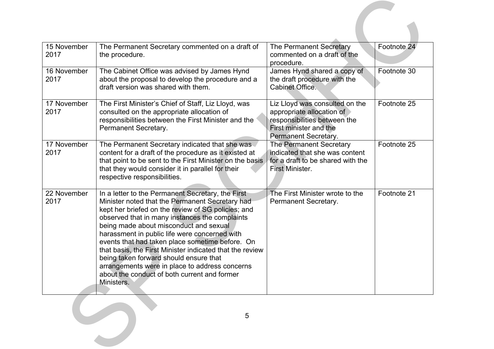| 15 November         | The Permanent Secretary commented on a draft of                                                                   | The Permanent Secretary                                             | Footnote 24 |
|---------------------|-------------------------------------------------------------------------------------------------------------------|---------------------------------------------------------------------|-------------|
| 2017                | the procedure.                                                                                                    | commented on a draft of the<br>procedure.                           |             |
| 16 November         | The Cabinet Office was advised by James Hynd                                                                      | James Hynd shared a copy of                                         | Footnote 30 |
| 2017                | about the proposal to develop the procedure and a<br>draft version was shared with them.                          | the draft procedure with the<br><b>Cabinet Office.</b>              |             |
|                     |                                                                                                                   |                                                                     |             |
| 17 November<br>2017 | The First Minister's Chief of Staff, Liz Lloyd, was<br>consulted on the appropriate allocation of                 | Liz Lloyd was consulted on the<br>appropriate allocation of         | Footnote 25 |
|                     | responsibilities between the First Minister and the                                                               | responsibilities between the                                        |             |
|                     | Permanent Secretary.                                                                                              | First minister and the<br>Permanent Secretary.                      |             |
| 17 November         | The Permanent Secretary indicated that she was                                                                    | The Permanent Secretary                                             | Footnote 25 |
| 2017                | content for a draft of the procedure as it existed at<br>that point to be sent to the First Minister on the basis | indicated that she was content<br>for a draft to be shared with the |             |
|                     | that they would consider it in parallel for their                                                                 | First Minister.                                                     |             |
|                     | respective responsibilities.                                                                                      |                                                                     |             |
| 22 November         | In a letter to the Permanent Secretary, the First                                                                 | The First Minister wrote to the                                     | Footnote 21 |
| 2017                | Minister noted that the Permanent Secretary had<br>kept her briefed on the review of SG policies; and             | Permanent Secretary.                                                |             |
|                     | observed that in many instances the complaints                                                                    |                                                                     |             |
|                     | being made about misconduct and sexual<br>harassment in public life were concerned with                           |                                                                     |             |
|                     | events that had taken place sometime before. On                                                                   |                                                                     |             |
|                     | that basis, the First Minister indicated that the review<br>being taken forward should ensure that                |                                                                     |             |
|                     | arrangements were in place to address concerns                                                                    |                                                                     |             |
|                     | about the conduct of both current and former<br>Ministers.                                                        |                                                                     |             |
|                     |                                                                                                                   |                                                                     |             |
|                     |                                                                                                                   |                                                                     |             |
|                     | $5\phantom{.0}$                                                                                                   |                                                                     |             |
|                     |                                                                                                                   |                                                                     |             |
|                     |                                                                                                                   |                                                                     |             |
|                     |                                                                                                                   |                                                                     |             |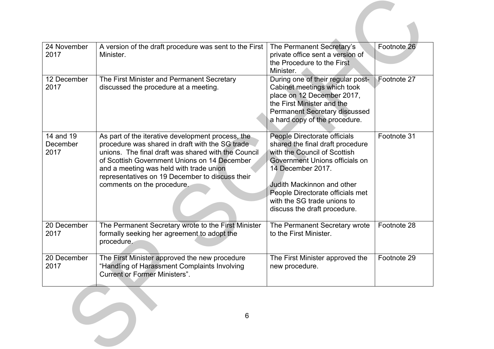| 24 November<br>2017           | A version of the draft procedure was sent to the First<br>Minister.                                                                                                                                                                                                                                                                     | The Permanent Secretary's<br>private office sent a version of<br>the Procedure to the First<br>Minister.                                                                                                                                                                                        | Footnote 26 |
|-------------------------------|-----------------------------------------------------------------------------------------------------------------------------------------------------------------------------------------------------------------------------------------------------------------------------------------------------------------------------------------|-------------------------------------------------------------------------------------------------------------------------------------------------------------------------------------------------------------------------------------------------------------------------------------------------|-------------|
| 12 December<br>2017           | The First Minister and Permanent Secretary<br>discussed the procedure at a meeting.                                                                                                                                                                                                                                                     | During one of their regular post-<br>Cabinet meetings which took<br>place on 12 December 2017,<br>the First Minister and the<br><b>Permanent Secretary discussed</b><br>a hard copy of the procedure.                                                                                           | Footnote 27 |
| 14 and 19<br>December<br>2017 | As part of the iterative development process, the<br>procedure was shared in draft with the SG trade<br>unions. The final draft was shared with the Council<br>of Scottish Government Unions on 14 December<br>and a meeting was held with trade union<br>representatives on 19 December to discuss their<br>comments on the procedure. | People Directorate officials<br>shared the final draft procedure<br>with the Council of Scottish<br>Government Unions officials on<br>14 December 2017.<br><b>Judith Mackinnon and other</b><br>People Directorate officials met<br>with the SG trade unions to<br>discuss the draft procedure. | Footnote 31 |
| 20 December<br>2017           | The Permanent Secretary wrote to the First Minister<br>formally seeking her agreement to adopt the<br>procedure.                                                                                                                                                                                                                        | The Permanent Secretary wrote<br>to the First Minister.                                                                                                                                                                                                                                         | Footnote 28 |
| 20 December<br>2017           | The First Minister approved the new procedure<br>"Handling of Harassment Complaints Involving<br><b>Current or Former Ministers".</b>                                                                                                                                                                                                   | The First Minister approved the<br>new procedure.                                                                                                                                                                                                                                               | Footnote 29 |
|                               | 6                                                                                                                                                                                                                                                                                                                                       |                                                                                                                                                                                                                                                                                                 |             |